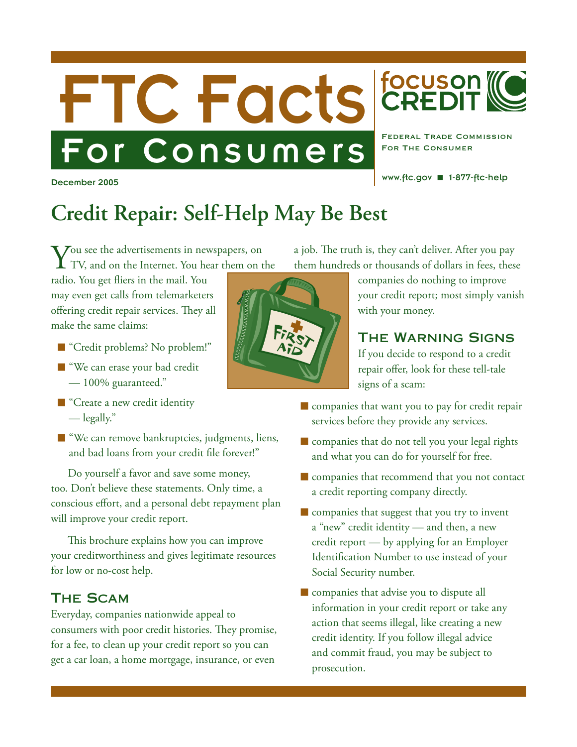# FTC Facts Execusor For Consumer FOR THE COMMISSION



For The Consumer

www.ftc.gov ■ 1-877-ftc-help

December 2005

# **Credit Repair: Self-Help May Be Best**

**Y**ou see the advertisements in newspapers, on TV, and on the Internet. You hear them on the

radio. You get fliers in the mail. You may even get calls from telemarketers offering credit repair services. They all make the same claims:

- "Credit problems? No problem!"
- "We can erase your bad credit — 100% guaranteed."
- "Create a new credit identity — legally."
- "We can remove bankruptcies, judgments, liens, and bad loans from your credit file forever!"

Do yourself a favor and save some money, too. Don't believe these statements. Only time, a conscious effort, and a personal debt repayment plan will improve your credit report.

This brochure explains how you can improve your creditworthiness and gives legitimate resources for low or no-cost help.

### The Scam

Everyday, companies nationwide appeal to consumers with poor credit histories. They promise, for a fee, to clean up your credit report so you can get a car loan, a home mortgage, insurance, or even

a job. The truth is, they can't deliver. After you pay them hundreds or thousands of dollars in fees, these

> companies do nothing to improve your credit report; most simply vanish with your money.

### The Warning Signs

If you decide to respond to a credit repair offer, look for these tell-tale signs of a scam:

- **Companies that want you to pay for credit repair** services before they provide any services.
- companies that do not tell you your legal rights and what you can do for yourself for free.
- **COMPANIES** companies that recommend that you not contact a credit reporting company directly.
- **Companies that suggest that you try to invent** a "new" credit identity — and then, a new credit report — by applying for an Employer Identification Number to use instead of your Social Security number.
- **Companies that advise you to dispute all** information in your credit report or take any action that seems illegal, like creating a new credit identity. If you follow illegal advice and commit fraud, you may be subject to prosecution.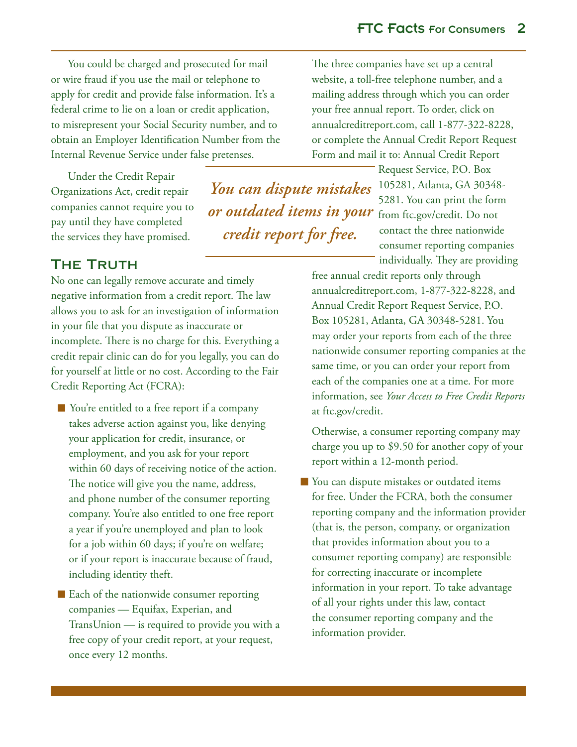You could be charged and prosecuted for mail or wire fraud if you use the mail or telephone to apply for credit and provide false information. It's a federal crime to lie on a loan or credit application, to misrepresent your Social Security number, and to obtain an Employer Identification Number from the Internal Revenue Service under false pretenses.

Under the Credit Repair Organizations Act, credit repair companies cannot require you to pay until they have completed the services they have promised.

### **THE TRUTH**

No one can legally remove accurate and timely negative information from a credit report. The law allows you to ask for an investigation of information in your file that you dispute as inaccurate or incomplete. There is no charge for this. Everything a credit repair clinic can do for you legally, you can do for yourself at little or no cost. According to the Fair Credit Reporting Act (FCRA):

- You're entitled to a free report if a company takes adverse action against you, like denying your application for credit, insurance, or employment, and you ask for your report within 60 days of receiving notice of the action. The notice will give you the name, address, and phone number of the consumer reporting company. You're also entitled to one free report a year if you're unemployed and plan to look for a job within 60 days; if you're on welfare; or if your report is inaccurate because of fraud, including identity theft.
- Each of the nationwide consumer reporting companies — Equifax, Experian, and TransUnion — is required to provide you with a free copy of your credit report, at your request, once every 12 months.

or outdated items in your from ftc.gov/credit. Do not *You can dispute mistakes credit report for free.*

 The three companies have set up a central website, a toll-free telephone number, and a mailing address through which you can order your free annual report. To order, click on annualcreditreport.com, call 1-877-322-8228, or complete the Annual Credit Report Request Form and mail it to: Annual Credit Report

> Request Service, P.O. Box 105281, Atlanta, GA 30348- 5281. You can print the form contact the three nationwide consumer reporting companies individually. They are providing

free annual credit reports only through annualcreditreport.com, 1-877-322-8228, and Annual Credit Report Request Service, P.O. Box 105281, Atlanta, GA 30348-5281. You may order your reports from each of the three nationwide consumer reporting companies at the same time, or you can order your report from each of the companies one at a time. For more information, see *Your Access to Free Credit Reports* at ftc.gov/credit.

 Otherwise, a consumer reporting company may charge you up to \$9.50 for another copy of your report within a 12-month period.

■ You can dispute mistakes or outdated items for free. Under the FCRA, both the consumer reporting company and the information provider (that is, the person, company, or organization that provides information about you to a consumer reporting company) are responsible for correcting inaccurate or incomplete information in your report. To take advantage of all your rights under this law, contact the consumer reporting company and the information provider.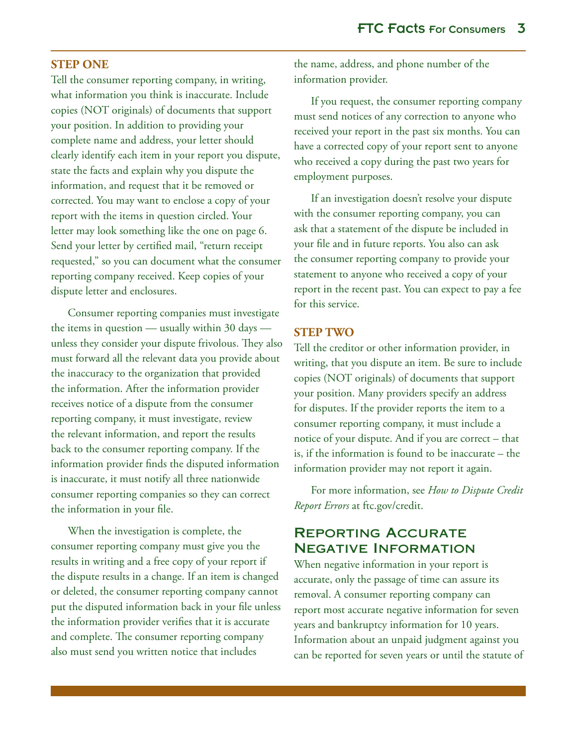#### **STEP ONE**

Tell the consumer reporting company, in writing, what information you think is inaccurate. Include copies (NOT originals) of documents that support your position. In addition to providing your complete name and address, your letter should clearly identify each item in your report you dispute, state the facts and explain why you dispute the information, and request that it be removed or corrected. You may want to enclose a copy of your report with the items in question circled. Your letter may look something like the one on page 6. Send your letter by certified mail, "return receipt requested," so you can document what the consumer reporting company received. Keep copies of your dispute letter and enclosures.

Consumer reporting companies must investigate the items in question — usually within 30 days unless they consider your dispute frivolous. They also must forward all the relevant data you provide about the inaccuracy to the organization that provided the information. After the information provider receives notice of a dispute from the consumer reporting company, it must investigate, review the relevant information, and report the results back to the consumer reporting company. If the information provider finds the disputed information is inaccurate, it must notify all three nationwide consumer reporting companies so they can correct the information in your file.

When the investigation is complete, the consumer reporting company must give you the results in writing and a free copy of your report if the dispute results in a change. If an item is changed or deleted, the consumer reporting company cannot put the disputed information back in your file unless the information provider verifies that it is accurate and complete. The consumer reporting company also must send you written notice that includes

the name, address, and phone number of the information provider.

If you request, the consumer reporting company must send notices of any correction to anyone who received your report in the past six months. You can have a corrected copy of your report sent to anyone who received a copy during the past two years for employment purposes.

If an investigation doesn't resolve your dispute with the consumer reporting company, you can ask that a statement of the dispute be included in your file and in future reports. You also can ask the consumer reporting company to provide your statement to anyone who received a copy of your report in the recent past. You can expect to pay a fee for this service.

#### **STEP TWO**

Tell the creditor or other information provider, in writing, that you dispute an item. Be sure to include copies (NOT originals) of documents that support your position. Many providers specify an address for disputes. If the provider reports the item to a consumer reporting company, it must include a notice of your dispute. And if you are correct – that is, if the information is found to be inaccurate – the information provider may not report it again.

For more information, see *How to Dispute Credit Report Errors* at ftc.gov/credit.

#### Reporting Accurate Negative Information

When negative information in your report is accurate, only the passage of time can assure its removal. A consumer reporting company can report most accurate negative information for seven years and bankruptcy information for 10 years. Information about an unpaid judgment against you can be reported for seven years or until the statute of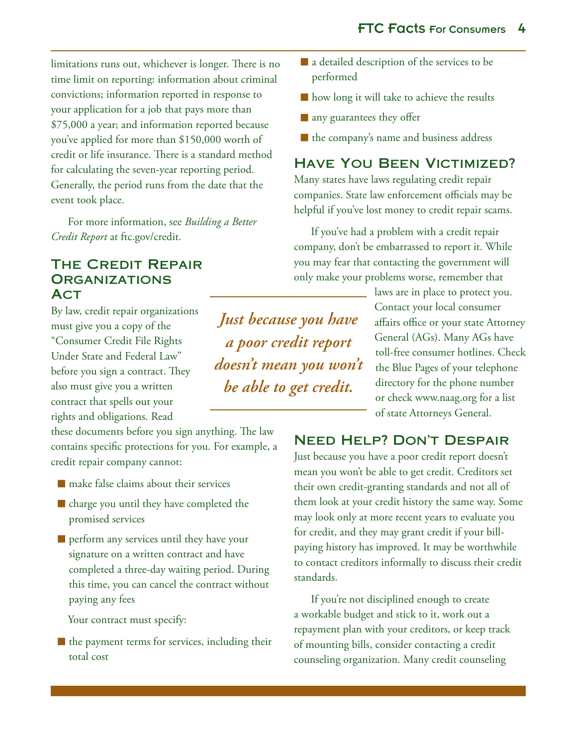limitations runs out, whichever is longer. There is no time limit on reporting: information about criminal convictions; information reported in response to your application for a job that pays more than \$75,000 a year; and information reported because you've applied for more than \$150,000 worth of credit or life insurance. There is a standard method for calculating the seven-year reporting period. Generally, the period runs from the date that the event took place.

For more information, see *Building a Better Credit Report* at ftc.gov/credit.

#### The Credit Repair **ORGANIZATIONS ACT**

By law, credit repair organizations must give you a copy of the "Consumer Credit File Rights Under State and Federal Law" before you sign a contract. They also must give you a written contract that spells out your rights and obligations. Read

these documents before you sign anything. The law contains specific protections for you. For example, a credit repair company cannot:

- **nake false claims about their services**
- charge you until they have completed the promised services
- **Perform any services until they have your** signature on a written contract and have completed a three-day waiting period. During this time, you can cancel the contract without paying any fees

Your contract must specify:

 $\blacksquare$  the payment terms for services, including their total cost

- a detailed description of the services to be performed
- how long it will take to achieve the results
- **a** any guarantees they offer
- $\blacksquare$  the company's name and business address

#### Have You Been Victimized?

Many states have laws regulating credit repair companies. State law enforcement officials may be helpful if you've lost money to credit repair scams.

If you've had a problem with a credit repair company, don't be embarrassed to report it. While you may fear that contacting the government will only make your problems worse, remember that

> laws are in place to protect you. Contact your local consumer affairs office or your state Attorney General (AGs). Many AGs have toll-free consumer hotlines. Check the Blue Pages of your telephone directory for the phone number or check www.naag.org for a list of state Attorneys General.

## Need Help? Don't Despair

Just because you have a poor credit report doesn't mean you won't be able to get credit. Creditors set their own credit-granting standards and not all of them look at your credit history the same way. Some may look only at more recent years to evaluate you for credit, and they may grant credit if your billpaying history has improved. It may be worthwhile to contact creditors informally to discuss their credit standards.

If you're not disciplined enough to create a workable budget and stick to it, work out a repayment plan with your creditors, or keep track of mounting bills, consider contacting a credit counseling organization. Many credit counseling

*Just because you have a poor credit report doesn't mean you won't be able to get credit.*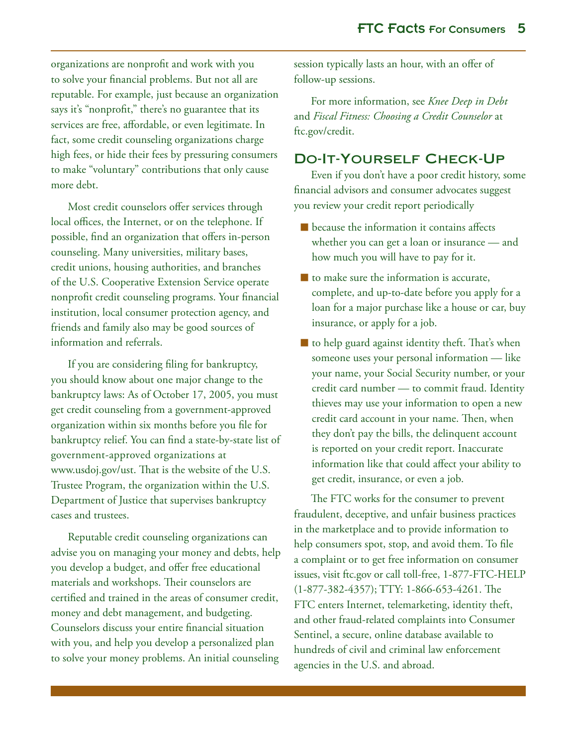organizations are nonprofit and work with you to solve your financial problems. But not all are reputable. For example, just because an organization says it's "nonprofit," there's no guarantee that its services are free, affordable, or even legitimate. In fact, some credit counseling organizations charge high fees, or hide their fees by pressuring consumers to make "voluntary" contributions that only cause more debt.

Most credit counselors offer services through local offices, the Internet, or on the telephone. If possible, find an organization that offers in-person counseling. Many universities, military bases, credit unions, housing authorities, and branches of the U.S. Cooperative Extension Service operate nonprofit credit counseling programs. Your financial institution, local consumer protection agency, and friends and family also may be good sources of information and referrals.

If you are considering filing for bankruptcy, you should know about one major change to the bankruptcy laws: As of October 17, 2005, you must get credit counseling from a government-approved organization within six months before you file for bankruptcy relief. You can find a state-by-state list of government-approved organizations at www.usdoj.gov/ust. That is the website of the U.S. Trustee Program, the organization within the U.S. Department of Justice that supervises bankruptcy cases and trustees.

Reputable credit counseling organizations can advise you on managing your money and debts, help you develop a budget, and offer free educational materials and workshops. Their counselors are certified and trained in the areas of consumer credit, money and debt management, and budgeting. Counselors discuss your entire financial situation with you, and help you develop a personalized plan to solve your money problems. An initial counseling

session typically lasts an hour, with an offer of follow-up sessions.

For more information, see *Knee Deep in Debt* and *Fiscal Fitness: Choosing a Credit Counselor* at ftc.gov/credit.

#### Do-It-Yourself Check-Up

Even if you don't have a poor credit history, some financial advisors and consumer advocates suggest you review your credit report periodically

- **E** because the information it contains affects whether you can get a loan or insurance — and how much you will have to pay for it.
- $\blacksquare$  to make sure the information is accurate, complete, and up-to-date before you apply for a loan for a major purchase like a house or car, buy insurance, or apply for a job.
- $\blacksquare$  to help guard against identity theft. That's when someone uses your personal information — like your name, your Social Security number, or your credit card number — to commit fraud. Identity thieves may use your information to open a new credit card account in your name. Then, when they don't pay the bills, the delinquent account is reported on your credit report. Inaccurate information like that could affect your ability to get credit, insurance, or even a job.

The FTC works for the consumer to prevent fraudulent, deceptive, and unfair business practices in the marketplace and to provide information to help consumers spot, stop, and avoid them. To file a complaint or to get free information on consumer issues, visit ftc.gov or call toll-free, 1-877-FTC-HELP (1-877-382-4357); TTY: 1-866-653-4261. The FTC enters Internet, telemarketing, identity theft, and other fraud-related complaints into Consumer Sentinel, a secure, online database available to hundreds of civil and criminal law enforcement agencies in the U.S. and abroad.